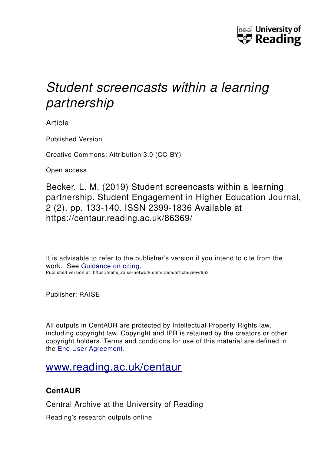

# *Student screencasts within a learning partnership*

Article

Published Version

Creative Commons: Attribution 3.0 (CC-BY)

Open access

Becker, L. M. (2019) Student screencasts within a learning partnership. Student Engagement in Higher Education Journal, 2 (2). pp. 133-140. ISSN 2399-1836 Available at https://centaur.reading.ac.uk/86369/

It is advisable to refer to the publisher's version if you intend to cite from the work. See [Guidance on citing.](http://centaur.reading.ac.uk/71187/10/CentAUR%20citing%20guide.pdf) Published version at: https://sehej.raise-network.com/raise/article/view/653

Publisher: RAISE

All outputs in CentAUR are protected by Intellectual Property Rights law, including copyright law. Copyright and IPR is retained by the creators or other copyright holders. Terms and conditions for use of this material are defined in the [End User Agreement.](http://centaur.reading.ac.uk/licence)

# [www.reading.ac.uk/centaur](http://www.reading.ac.uk/centaur)

## **CentAUR**

Central Archive at the University of Reading

Reading's research outputs online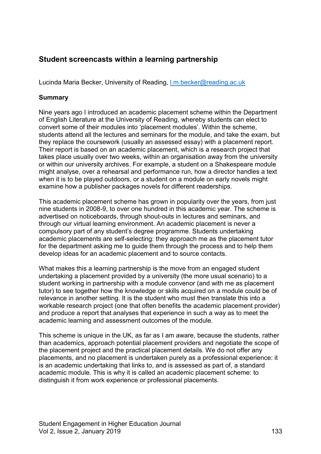### **Student screencasts within a learning partnership**

Lucinda Maria Becker, University of Reading, [l.m.becker@reading.ac.uk](mailto:l.m.becker@reading.ac.uk)

#### **Summary**

Nine years ago I introduced an academic placement scheme within the Department of English Literature at the University of Reading, whereby students can elect to convert some of their modules into 'placement modules'. Within the scheme, students attend all the lectures and seminars for the module, and take the exam, but they replace the coursework (usually an assessed essay) with a placement report. Their report is based on an academic placement, which is a research project that takes place usually over two weeks, within an organisation away from the university or within our university archives. For example, a student on a Shakespeare module might analyse, over a rehearsal and performance run, how a director handles a text when it is to be played outdoors, or a student on a module on early novels might examine how a publisher packages novels for different readerships.

This academic placement scheme has grown in popularity over the years, from just nine students in 2008-9, to over one hundred in this academic year. The scheme is advertised on noticeboards, through shout-outs in lectures and seminars, and through our virtual learning environment. An academic placement is never a compulsory part of any student's degree programme. Students undertaking academic placements are self-selecting: they approach me as the placement tutor for the department asking me to guide them through the process and to help them develop ideas for an academic placement and to source contacts.

What makes this a learning partnership is the move from an engaged student undertaking a placement provided by a university (the more usual scenario) to a student working in partnership with a module convenor (and with me as placement tutor) to see together how the knowledge or skills acquired on a module could be of relevance in another setting. It is the student who must then translate this into a workable research project (one that often benefits the academic placement provider) and produce a report that analyses that experience in such a way as to meet the academic learning and assessment outcomes of the module.

This scheme is unique in the UK, as far as I am aware, because the students, rather than academics, approach potential placement providers and negotiate the scope of the placement project and the practical placement details. We do not offer any placements, and no placement is undertaken purely as a professional experience: it is an academic undertaking that links to, and is assessed as part of, a standard academic module. This is why it is called an academic placement scheme: to distinguish it from work experience or professional placements.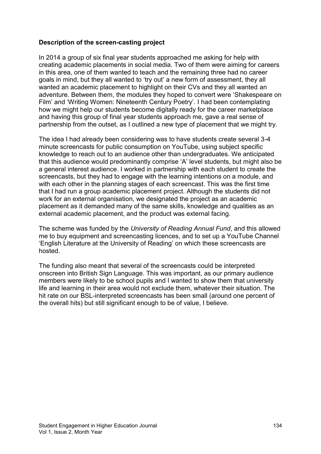#### **Description of the screen-casting project**

In 2014 a group of six final year students approached me asking for help with creating academic placements in social media. Two of them were aiming for careers in this area, one of them wanted to teach and the remaining three had no career goals in mind, but they all wanted to 'try out' a new form of assessment, they all wanted an academic placement to highlight on their CVs and they all wanted an adventure. Between them, the modules they hoped to convert were 'Shakespeare on Film' and 'Writing Women: Nineteenth Century Poetry'. I had been contemplating how we might help our students become digitally ready for the career marketplace and having this group of final year students approach me, gave a real sense of partnership from the outset, as I outlined a new type of placement that we might try.

The idea I had already been considering was to have students create several 3-4 minute screencasts for public consumption on YouTube, using subject specific knowledge to reach out to an audience other than undergraduates. We anticipated that this audience would predominantly comprise 'A' level students, but might also be a general interest audience. I worked in partnership with each student to create the screencasts, but they had to engage with the learning intentions on a module, and with each other in the planning stages of each screencast. This was the first time that I had run a group academic placement project. Although the students did not work for an external organisation, we designated the project as an academic placement as it demanded many of the same skills, knowledge and qualities as an external academic placement, and the product was external facing.

The scheme was funded by the *University of Reading Annual Fund*, and this allowed me to buy equipment and screencasting licences, and to set up a YouTube Channel 'English Literature at the University of Reading' on which these screencasts are hosted.

The funding also meant that several of the screencasts could be interpreted onscreen into British Sign Language. This was important, as our primary audience members were likely to be school pupils and I wanted to show them that university life and learning in their area would not exclude them, whatever their situation. The hit rate on our BSL-interpreted screencasts has been small (around one percent of the overall hits) but still significant enough to be of value, I believe.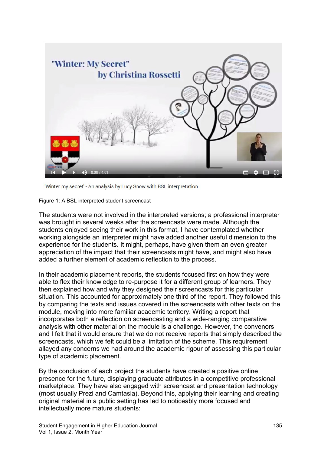

'Winter my secret' - An analysis by Lucy Snow with BSL interpretation

Figure 1: A BSL interpreted student screencast

The students were not involved in the interpreted versions; a professional interpreter was brought in several weeks after the screencasts were made. Although the students enjoyed seeing their work in this format, I have contemplated whether working alongside an interpreter might have added another useful dimension to the experience for the students. It might, perhaps, have given them an even greater appreciation of the impact that their screencasts might have, and might also have added a further element of academic reflection to the process.

In their academic placement reports, the students focused first on how they were able to flex their knowledge to re-purpose it for a different group of learners. They then explained how and why they designed their screencasts for this particular situation. This accounted for approximately one third of the report. They followed this by comparing the texts and issues covered in the screencasts with other texts on the module, moving into more familiar academic territory. Writing a report that incorporates both a reflection on screencasting and a wide-ranging comparative analysis with other material on the module is a challenge. However, the convenors and I felt that it would ensure that we do not receive reports that simply described the screencasts, which we felt could be a limitation of the scheme. This requirement allayed any concerns we had around the academic rigour of assessing this particular type of academic placement.

By the conclusion of each project the students have created a positive online presence for the future, displaying graduate attributes in a competitive professional marketplace. They have also engaged with screencast and presentation technology (most usually Prezi and Camtasia). Beyond this, applying their learning and creating original material in a public setting has led to noticeably more focused and intellectually more mature students: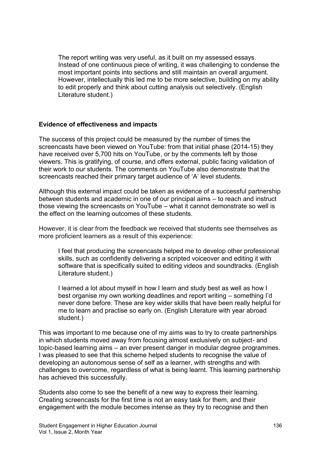The report writing was very useful, as it built on my assessed essays. Instead of one continuous piece of writing, it was challenging to condense the most important points into sections and still maintain an overall argument. However, intellectually this led me to be more selective, building on my ability to edit properly and think about cutting analysis out selectively. (English Literature student.)

#### **Evidence of effectiveness and impacts**

The success of this project could be measured by the number of times the screencasts have been viewed on YouTube: from that initial phase (2014-15) they have received over 5,700 hits on YouTube, or by the comments left by those viewers. This is gratifying, of course, and offers external, public facing validation of their work to our students. The comments on YouTube also demonstrate that the screencasts reached their primary target audience of 'A' level students.

Although this external impact could be taken as evidence of a successful partnership between students and academic in one of our principal aims – to reach and instruct those viewing the screencasts on YouTube – what it cannot demonstrate so well is the effect on the learning outcomes of these students.

However, it is clear from the feedback we received that students see themselves as more proficient learners as a result of this experience:

I feel that producing the screencasts helped me to develop other professional skills, such as confidently delivering a scripted voiceover and editing it with software that is specifically suited to editing videos and soundtracks. (English Literature student.)

I learned a lot about myself in how I learn and study best as well as how I best organise my own working deadlines and report writing – something I'd never done before. These are key wider skills that have been really helpful for me to learn and practise so early on. (English Literature with year abroad student.)

This was important to me because one of my aims was to try to create partnerships in which students moved away from focusing almost exclusively on subject- and topic-based learning aims – an ever present danger in modular degree programmes. I was pleased to see that this scheme helped students to recognise the value of developing an autonomous sense of self as a learner, with strengths and with challenges to overcome, regardless of what is being learnt. This learning partnership has achieved this successfully.

Students also come to see the benefit of a new way to express their learning. Creating screencasts for the first time is not an easy task for them, and their engagement with the module becomes intense as they try to recognise and then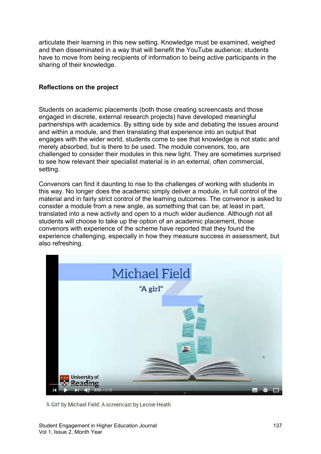articulate their learning in this new setting. Knowledge must be examined, weighed and then disseminated in a way that will benefit the YouTube audience; students have to move from being recipients of information to being active participants in the sharing of their knowledge.

#### **Reflections on the project**

Students on academic placements (both those creating screencasts and those engaged in discrete, external research projects) have developed meaningful partnerships with academics. By sitting side by side and debating the issues around and within a module, and then translating that experience into an output that engages with the wider world, students come to see that knowledge is not static and merely absorbed, but is there to be used. The module convenors, too, are challenged to consider their modules in this new light. They are sometimes surprised to see how relevant their specialist material is in an external, often commercial, setting.

Convenors can find it daunting to rise to the challenges of working with students in this way. No longer does the academic simply deliver a module, in full control of the material and in fairly strict control of the learning outcomes. The convenor is asked to consider a module from a new angle, as something that can be, at least in part, translated into a new activity and open to a much wider audience. Although not all students will choose to take up the option of an academic placement, those convenors with experience of the scheme have reported that they found the experience challenging, especially in how they measure success in assessment, but also refreshing.



'A Girl' by Michael Field: A screencast by Leonie Heath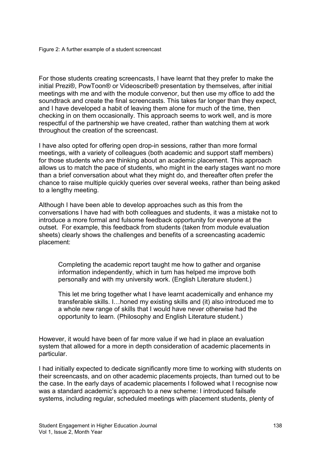For those students creating screencasts, I have learnt that they prefer to make the initial Prezi®, PowToon® or Videoscribe® presentation by themselves, after initial meetings with me and with the module convenor, but then use my office to add the soundtrack and create the final screencasts. This takes far longer than they expect, and I have developed a habit of leaving them alone for much of the time, then checking in on them occasionally. This approach seems to work well, and is more respectful of the partnership we have created, rather than watching them at work throughout the creation of the screencast.

I have also opted for offering open drop-in sessions, rather than more formal meetings, with a variety of colleagues (both academic and support staff members) for those students who are thinking about an academic placement. This approach allows us to match the pace of students, who might in the early stages want no more than a brief conversation about what they might do, and thereafter often prefer the chance to raise multiple quickly queries over several weeks, rather than being asked to a lengthy meeting.

Although I have been able to develop approaches such as this from the conversations I have had with both colleagues and students, it was a mistake not to introduce a more formal and fulsome feedback opportunity for everyone at the outset. For example, this feedback from students (taken from module evaluation sheets) clearly shows the challenges and benefits of a screencasting academic placement:

Completing the academic report taught me how to gather and organise information independently, which in turn has helped me improve both personally and with my university work. (English Literature student.)

This let me bring together what I have learnt academically and enhance my transferable skills. I…honed my existing skills and (it) also introduced me to a whole new range of skills that I would have never otherwise had the opportunity to learn. (Philosophy and English Literature student.)

However, it would have been of far more value if we had in place an evaluation system that allowed for a more in depth consideration of academic placements in particular.

I had initially expected to dedicate significantly more time to working with students on their screencasts, and on other academic placements projects, than turned out to be the case. In the early days of academic placements I followed what I recognise now was a standard academic's approach to a new scheme: I introduced failsafe systems, including regular, scheduled meetings with placement students, plenty of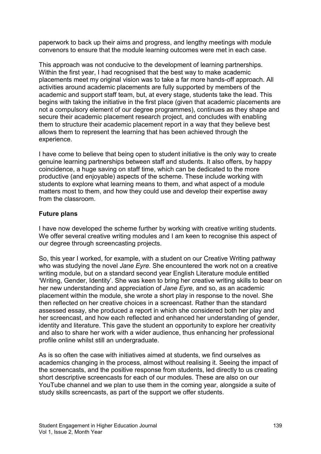paperwork to back up their aims and progress, and lengthy meetings with module convenors to ensure that the module learning outcomes were met in each case.

This approach was not conducive to the development of learning partnerships. Within the first year, I had recognised that the best way to make academic placements meet my original vision was to take a far more hands-off approach. All activities around academic placements are fully supported by members of the academic and support staff team, but, at every stage, students take the lead. This begins with taking the initiative in the first place (given that academic placements are not a compulsory element of our degree programmes), continues as they shape and secure their academic placement research project, and concludes with enabling them to structure their academic placement report in a way that they believe best allows them to represent the learning that has been achieved through the experience.

I have come to believe that being open to student initiative is the only way to create genuine learning partnerships between staff and students. It also offers, by happy coincidence, a huge saving on staff time, which can be dedicated to the more productive (and enjoyable) aspects of the scheme. These include working with students to explore what learning means to them, and what aspect of a module matters most to them, and how they could use and develop their expertise away from the classroom.

#### **Future plans**

I have now developed the scheme further by working with creative writing students. We offer several creative writing modules and I am keen to recognise this aspect of our degree through screencasting projects.

So, this year I worked, for example, with a student on our Creative Writing pathway who was studying the novel *Jane Eyre*. She encountered the work not on a creative writing module, but on a standard second year English Literature module entitled 'Writing, Gender, Identity'. She was keen to bring her creative writing skills to bear on her new understanding and appreciation of *Jane Eyre*, and so, as an academic placement within the module, she wrote a short play in response to the novel. She then reflected on her creative choices in a screencast. Rather than the standard assessed essay, she produced a report in which she considered both her play and her screencast, and how each reflected and enhanced her understanding of gender, identity and literature. This gave the student an opportunity to explore her creativity and also to share her work with a wider audience, thus enhancing her professional profile online whilst still an undergraduate.

As is so often the case with initiatives aimed at students, we find ourselves as academics changing in the process, almost without realising it. Seeing the impact of the screencasts, and the positive response from students, led directly to us creating short descriptive screencasts for each of our modules. These are also on our YouTube channel and we plan to use them in the coming year, alongside a suite of study skills screencasts, as part of the support we offer students.